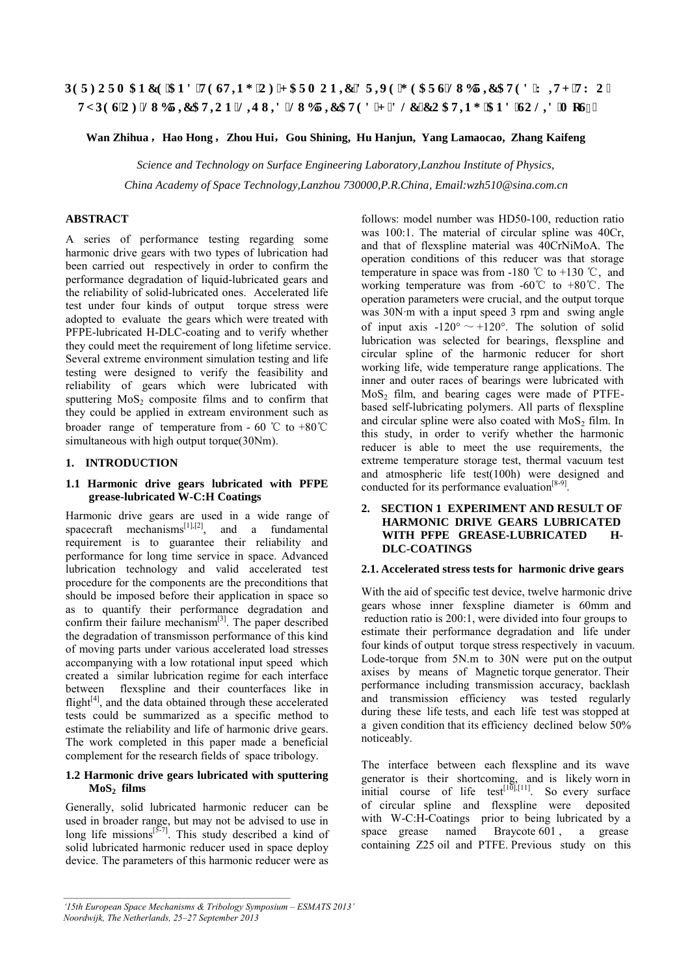# **RGTHQTO CPEG'CPF'VGUVIPI 'QH'I CTO QPIE'FTKG'I GCTUNWDTIECVGF'Y INJ 'VY Q''** V RGUQH'NWDTKECVKQP<NKSWKF/NWDTKECVGF'J/FNE/EQCVKPI'CPF'UQNKF'OqU4"

# **Wan Zhihua** ,**Hao Hong**,**Zhou Hui**,**Gou Shining, Hu Hanjun, Yang Lamaocao, Zhang Kaifeng**

*Science and Technology on Surface Engineering Laboratory,Lanzhou Institute of Physics, China Academy of Space Technology,Lanzhou 730000,P.R.China, Email:wzh510@sina.com.cn* 

# **ABSTRACT**

A series of performance testing regarding some harmonic drive gears with two types of lubrication had been carried out respectively in order to confirm the performance degradation of liquid-lubricated gears and the reliability of solid-lubricated ones. Accelerated life test under four kinds of output torque stress were adopted to evaluate the gears which were treated with PFPE-lubricated H-DLC-coating and to verify whether they could meet the requirement of long lifetime service. Several extreme environment simulation testing and life testing were designed to verify the feasibility and reliability of gears which were lubricated with sputtering  $MoS<sub>2</sub>$  composite films and to confirm that they could be applied in extream environment such as broader range of temperature from - 60 ℃ to +80℃ simultaneous with high output torque(30Nm).

# **1. INTRODUCTION**

#### **1.1 Harmonic drive gears lubricated with PFPE grease-lubricated W-C:H Coatings**

Harmonic drive gears are used in a wide range of spacecraft mechanisms $\begin{bmatrix} 11, 22 \end{bmatrix}$ , and a fundamental requirement is to guarantee their reliability and performance for long time service in space. Advanced lubrication technology and valid accelerated test procedure for the components are the preconditions that should be imposed before their application in space so as to quantify their performance degradation and confirm their failure mechanism $[3]$ . The paper described the degradation of transmisson performance of this kind of moving parts under various accelerated load stresses accompanying with a low rotational input speed which created a similar lubrication regime for each interface between flexspline and their counterfaces like in flight $[4]$ , and the data obtained through these accelerated tests could be summarized as a specific method to estimate the reliability and life of harmonic drive gears. The work completed in this paper made a beneficial complement for the research fields of space tribology.

### **1.2 Harmonic drive gears lubricated with sputtering MoS2 films**

Generally, solid lubricated harmonic reducer can be used in broader range, but may not be advised to use in long life missions $[5\overline{57}]$ . This study described a kind of solid lubricated harmonic reducer used in space deploy device. The parameters of this harmonic reducer were as follows: model number was HD50-100, reduction ratio was 100:1. The material of circular spline was 40Cr, and that of flexspline material was 40CrNiMoA. The operation conditions of this reducer was that storage temperature in space was from -180 °C to +130 °C, and working temperature was from -60℃ to +80℃. The operation parameters were crucial, and the output torque was 30N·m with a input speed 3 rpm and swing angle of input axis -120°  $\sim$  +120°. The solution of solid lubrication was selected for bearings, flexspline and circular spline of the harmonic reducer for short working life, wide temperature range applications. The inner and outer races of bearings were lubricated with  $MoS<sub>2</sub>$  film, and bearing cages were made of PTFEbased self-lubricating polymers. All parts of flexspline and circular spline were also coated with  $MoS<sub>2</sub>$  film. In this study, in order to verify whether the harmonic reducer is able to meet the use requirements, the extreme temperature storage test, thermal vacuum test and atmospheric life test(100h) were designed and conducted for its performance evaluation $[8-9]$ .

## **2. SECTION 1 EXPERIMENT AND RESULT OF HARMONIC DRIVE GEARS LUBRICATED WITH PFPE GREASE-LUBRICATED H-DLC-COATINGS**

#### **2.1. Accelerated stress tests for harmonic drive gears**

With the aid of specific test device, twelve harmonic drive gears whose inner fexspline diameter is 60mm and reduction ratio is 200:1, were divided into four groups to estimate their performance degradation and life under four kinds of output torque stress respectively in vacuum. Lode-torque from 5N.m to 30N were put on the output axises by means of Magnetic torque generator. Their performance including transmission accuracy, backlash and transmission efficiency was tested regularly during these life tests, and each life test was stopped at a given condition that its efficiency declined below 50% noticeably.

The interface between each flexspline and its wave generator is their shortcoming, and is likely worn in initial course of life test $[10]$ , $[11]$ . So every surface of circular spline and flexspline were deposited with W-C:H-Coatings prior to being lubricated by a space grease named Braycote 601 , a grease containing Z25 oil and PTFE. Previous study on this

*<sup>&#</sup>x27;15th European Space Mechanisms & Tribology Symposium – ESMATS 2013' Noordwijk, The Netherlands, 25–27 September 2013*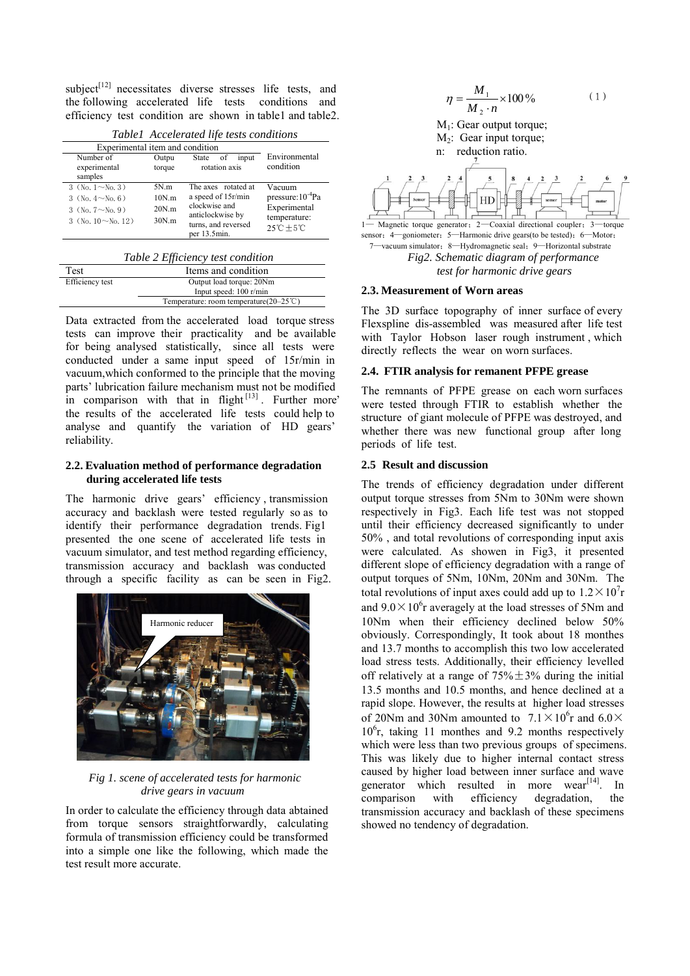subject<sup>[12]</sup> necessitates diverse stresses life tests, and the following accelerated life tests conditions and efficiency test condition are shown in table1 and table2.

| ruoter treebieluiten ille lests contentons                                                               |                                 |                                                                                                                       |                                                                                                      |  |  |
|----------------------------------------------------------------------------------------------------------|---------------------------------|-----------------------------------------------------------------------------------------------------------------------|------------------------------------------------------------------------------------------------------|--|--|
| Experimental item and condition                                                                          |                                 |                                                                                                                       |                                                                                                      |  |  |
| Number of<br>experimental<br>samples                                                                     | Outpu<br>torque                 | State<br>input<br>of<br>rotation axis                                                                                 | Environmental<br>condition                                                                           |  |  |
| 3 (No. $1 \sim$ No. 3)<br>3 $(N_0, 4 \sim N_0, 6)$<br>3 (No. $7 \sim$ No. 9)<br>3 (No. $10 \sim$ No. 12) | 5N.m<br>10N.m<br>20N.m<br>30N.m | The axes rotated at<br>a speed of 15r/min<br>clockwise and<br>anticlockwise by<br>turns, and reversed<br>per 13.5min. | Vacuum<br>pressure:10 <sup>-4</sup> Pa<br>Experimental<br>temperature:<br>$25^{\circ}C + 5^{\circ}C$ |  |  |

*Table1 Accelerated life tests conditions* 

|  |  | Table 2 Efficiency test condition |
|--|--|-----------------------------------|
|--|--|-----------------------------------|

| Test            | Items and condition                               |
|-----------------|---------------------------------------------------|
| Efficiency test | Output load torque: 20Nm                          |
|                 | Input speed: 100 r/min                            |
|                 | Temperature: room temperature( $20-25^{\circ}$ C) |

Data extracted from the accelerated load torque stress tests can improve their practicality and be available for being analysed statistically, since all tests were conducted under a same input speed of 15r/min in vacuum,which conformed to the principle that the moving parts' lubrication failure mechanism must not be modified in comparison with that in flight $[13]$ . Further more the results of the accelerated life tests could help to analyse and quantify the variation of HD gears' reliability.

## **2.2. Evaluation method of performance degradation during accelerated life tests**

The harmonic drive gears' efficiency , transmission accuracy and backlash were tested regularly so as to identify their performance degradation trends. Fig1 presented the one scene of accelerated life tests in vacuum simulator, and test method regarding efficiency, transmission accuracy and backlash was conducted through a specific facility as can be seen in Fig2.



*Fig 1. scene of accelerated tests for harmonic drive gears in vacuum* 

In order to calculate the efficiency through data abtained from torque sensors straightforwardly, calculating formula of transmission efficiency could be transformed into a simple one like the following, which made the test result more accurate.



#### **2.3. Measurement of Worn areas**

The 3D surface topography of inner surface of every Flexspline dis-assembled was measured after life test with Taylor Hobson laser rough instrument , which directly reflects the wear on worn surfaces.

## **2.4. FTIR analysis for remanent PFPE grease**

The remnants of PFPE grease on each worn surfaces were tested through FTIR to establish whether the structure of giant molecule of PFPE was destroyed, and whether there was new functional group after long periods of life test.

#### **2.5 Result and discussion**

The trends of efficiency degradation under different output torque stresses from 5Nm to 30Nm were shown respectively in Fig3. Each life test was not stopped until their efficiency decreased significantly to under 50% , and total revolutions of corresponding input axis were calculated. As showen in Fig3, it presented different slope of efficiency degradation with a range of output torques of 5Nm, 10Nm, 20Nm and 30Nm. The total revolutions of input axes could add up to  $1.2 \times 10^{7}$ r and  $9.0 \times 10^6$  r averagely at the load stresses of 5Nm and 10Nm when their efficiency declined below 50% obviously. Correspondingly, It took about 18 monthes and 13.7 months to accomplish this two low accelerated load stress tests. Additionally, their efficiency levelled off relatively at a range of  $75\% \pm 3\%$  during the initial 13.5 months and 10.5 months, and hence declined at a rapid slope. However, the results at higher load stresses of 20Nm and 30Nm amounted to  $7.1 \times 10^6$ r and  $6.0 \times$ 10<sup>6</sup> r, taking 11 monthes and 9.2 months respectively which were less than two previous groups of specimens. This was likely due to higher internal contact stress caused by higher load between inner surface and wave generator which resulted in more wear<sup>[14]</sup>. In comparison with efficiency degradation, the transmission accuracy and backlash of these specimens showed no tendency of degradation.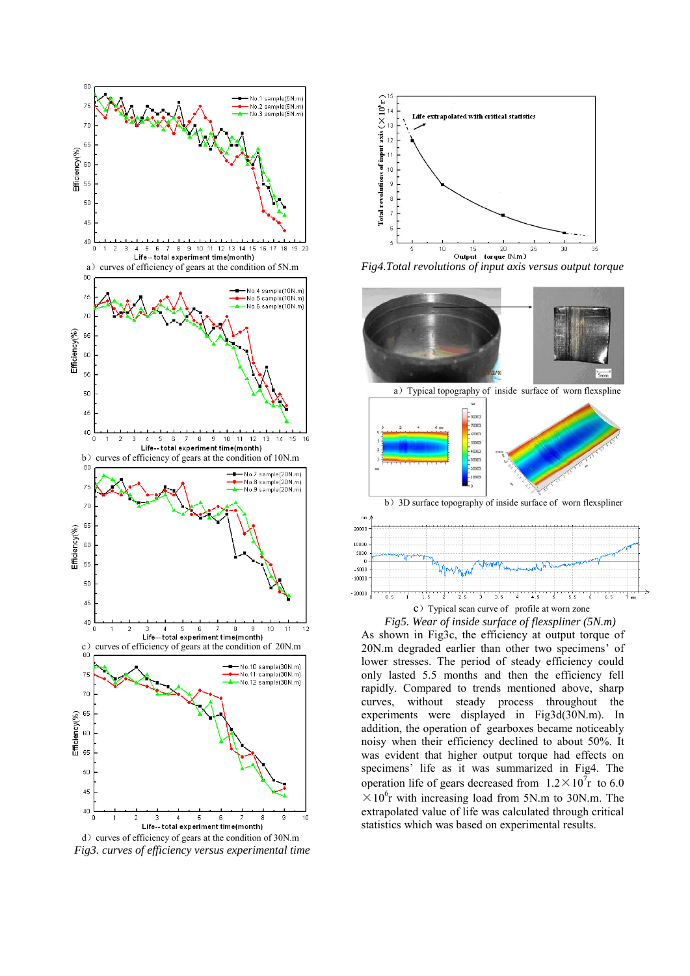

d) curves of efficiency of gears at the condition of 30N.m  *Fig3. curves of efficiency versus experimental time* 



*Fig4.Total revolutions of input axis versus output torque* 



c) Typical scan curve of profile at worn zone

*Fig5. Wear of inside surface of flexspliner (5N.m)*  As shown in Fig3c, the efficiency at output torque of 20N.m degraded earlier than other two specimens' of lower stresses. The period of steady efficiency could only lasted 5.5 months and then the efficiency fell rapidly. Compared to trends mentioned above, sharp curves, without steady process throughout the experiments were displayed in Fig3d(30N.m). In addition, the operation of gearboxes became noticeably noisy when their efficiency declined to about 50%. It was evident that higher output torque had effects on specimens' life as it was summarized in Fig4. The operation life of gears decreased from  $1.2 \times 10^{7}$ r to 6.0  $\times 10^6$ r with increasing load from 5N.m to 30N.m. The extrapolated value of life was calculated through critical statistics which was based on experimental results.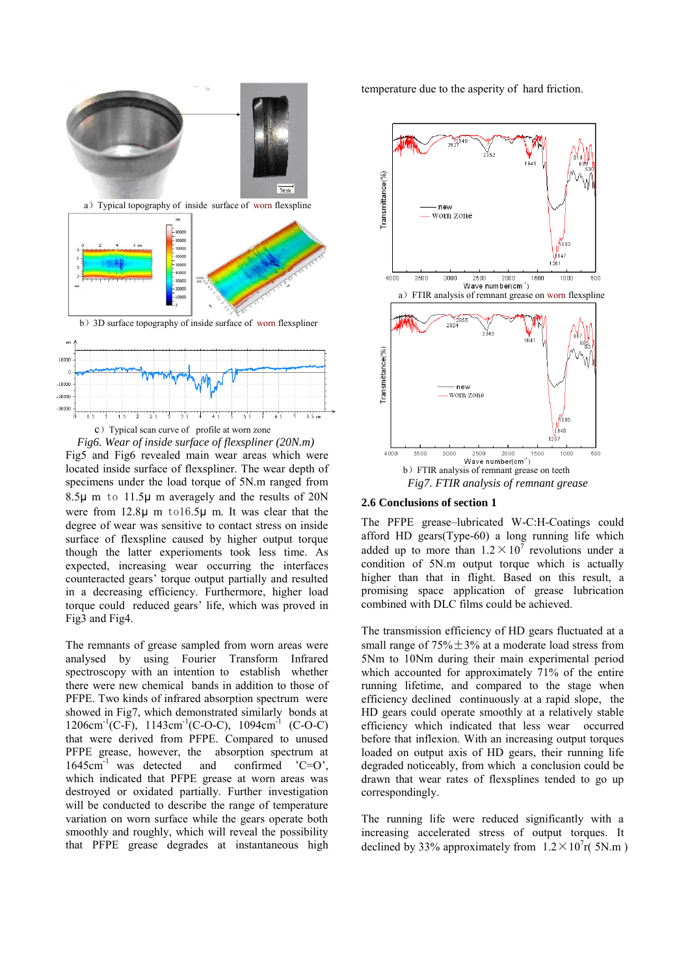



The remnants of grease sampled from worn areas were analysed by using Fourier Transform Infrared spectroscopy with an intention to establish whether there were new chemical bands in addition to those of PFPE. Two kinds of infrared absorption spectrum were showed in Fig7, which demonstrated similarly bonds at  $1206 \text{cm}^{-1}$ (C-F),  $1143 \text{cm}^{-1}$ (C-O-C),  $1094 \text{cm}^{-1}$  (C-O-C) that were derived from PFPE. Compared to unused PFPE grease, however, the absorption spectrum at  $1645 \text{cm}^{-1}$  was detected and confirmed  $°C=O$ ,  $1645 \text{cm}^{-1}$  was detected and confirmed  $C=O'$ , which indicated that PFPE grease at worn areas was destroyed or oxidated partially. Further investigation will be conducted to describe the range of temperature variation on worn surface while the gears operate both smoothly and roughly, which will reveal the possibility that PFPE grease degrades at instantaneous high

temperature due to the asperity of hard friction.



#### **2.6 Conclusions of section 1**

The PFPE grease–lubricated W-C:H-Coatings could afford HD gears(Type-60) a long running life which added up to more than  $1.2 \times 10^7$  revolutions under a condition of 5N.m output torque which is actually higher than that in flight. Based on this result, a promising space application of grease lubrication combined with DLC films could be achieved.

The transmission efficiency of HD gears fluctuated at a small range of  $75\% \pm 3\%$  at a moderate load stress from 5Nm to 10Nm during their main experimental period which accounted for approximately 71% of the entire running lifetime, and compared to the stage when efficiency declined continuously at a rapid slope, the HD gears could operate smoothly at a relatively stable efficiency which indicated that less wear occurred before that inflexion. With an increasing output torques loaded on output axis of HD gears, their running life degraded noticeably, from which a conclusion could be drawn that wear rates of flexsplines tended to go up correspondingly.

The running life were reduced significantly with a increasing accelerated stress of output torques. It declined by 33% approximately from  $1.2 \times 10^{7}$ r(5N.m)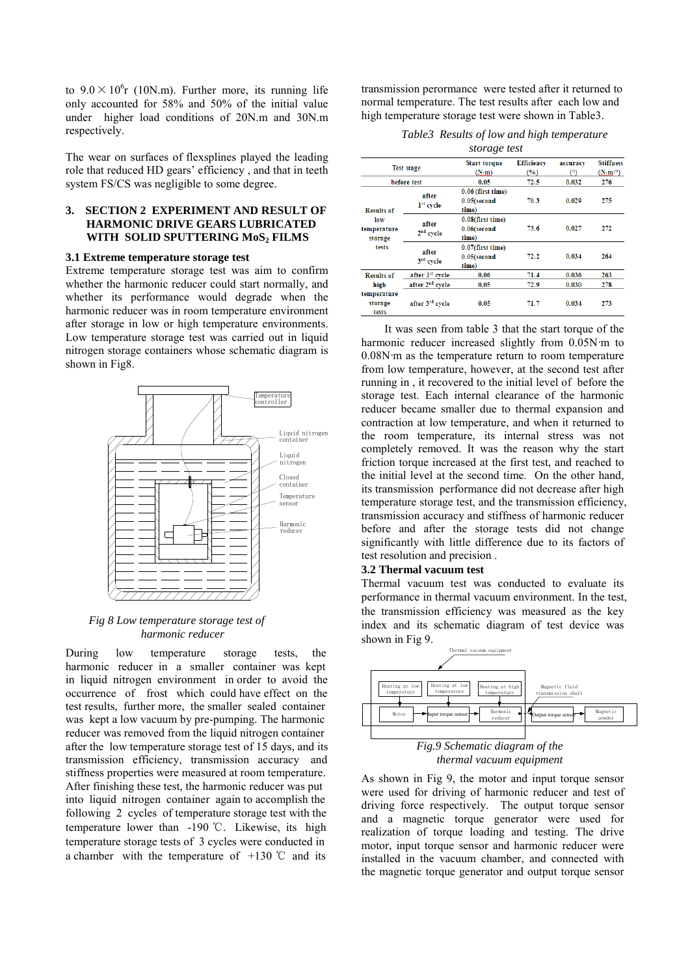to  $9.0 \times 10^6$ r (10N.m). Further more, its running life only accounted for 58% and 50% of the initial value under higher load conditions of 20N.m and 30N.m respectively.

The wear on surfaces of flexsplines played the leading role that reduced HD gears' efficiency , and that in teeth system FS/CS was negligible to some degree.

## **3. SECTION 2 EXPERIMENT AND RESULT OF HARMONIC DRIVE GEARS LUBRICATED WITH SOLID SPUTTERING MoS2 FILMS**

#### **3.1 Extreme temperature storage test**

Extreme temperature storage test was aim to confirm whether the harmonic reducer could start normally, and whether its performance would degrade when the harmonic reducer was in room temperature environment after storage in low or high temperature environments. Low temperature storage test was carried out in liquid nitrogen storage containers whose schematic diagram is shown in Fig8.



#### *Fig 8 Low temperature storage test of harmonic reducer*

During low temperature storage tests, the harmonic reducer in a smaller container was kept in liquid nitrogen environment in order to avoid the occurrence of frost which could have effect on the test results, further more, the smaller sealed container was kept a low vacuum by pre-pumping. The harmonic reducer was removed from the liquid nitrogen container after the low temperature storage test of 15 days, and its transmission efficiency, transmission accuracy and stiffness properties were measured at room temperature. After finishing these test, the harmonic reducer was put into liquid nitrogen container again to accomplish the following 2 cycles of temperature storage test with the temperature lower than -190 ℃. Likewise, its high temperature storage tests of 3 cycles were conducted in a chamber with the temperature of  $+130$  °C and its

transmission perormance were tested after it returned to normal temperature. The test results after each low and high temperature storage test were shown in Table3.

*Table3 Results of low and high temperature* 

|                                            |                                | storage test                                   |                                  |                         |                                                                     |  |
|--------------------------------------------|--------------------------------|------------------------------------------------|----------------------------------|-------------------------|---------------------------------------------------------------------|--|
| <b>Test stage</b><br>before test           |                                | <b>Start torque</b><br>(x, m)<br>$0.05 -$      | <b>Efficiency</b><br>(%)<br>72.5 | accuracy<br>(ግ<br>0.032 | <b>Stiffness</b><br>$(\mathbb{N}:\mathfrak{m}/\mathfrak{D})$<br>276 |  |
| <b>Results of</b>                          | after<br>1 <sup>st</sup> cycle | 0.06 (first time)<br>$0.05$ (second<br>time)   | 70.3                             | 0.029                   | 275                                                                 |  |
| $low -$<br>temperature<br>storage<br>tests | after<br>$2nd$ cycle           | 0.08(first time)<br>$0.06$ (second<br>time)    | 73.6                             | 0.027                   | 272                                                                 |  |
|                                            | after<br>3 <sup>rd</sup> cycle | $0.07$ (first time)<br>$0.05$ (second<br>time) | 72.2                             | 0.034.                  | 264                                                                 |  |
| <b>Results of</b>                          | after 1 <sup>st</sup> cycle    | 0.06                                           | 71.4                             | 0.036                   | 263                                                                 |  |
| high<br>temperature                        | after 2 <sup>nd</sup> cycle    | 0.05                                           | 72.9                             | 0.030                   | 278                                                                 |  |
| storage<br>tests                           | after 3 <sup>rd</sup> cycle    | 0.05                                           | 71.7                             | 0.034                   | 273                                                                 |  |

It was seen from table 3 that the start torque of the harmonic reducer increased slightly from 0.05N·m to 0.08N·m as the temperature return to room temperature from low temperature, however, at the second test after running in , it recovered to the initial level of before the storage test. Each internal clearance of the harmonic reducer became smaller due to thermal expansion and contraction at low temperature, and when it returned to the room temperature, its internal stress was not completely removed. It was the reason why the start friction torque increased at the first test, and reached to the initial level at the second time. On the other hand, its transmission performance did not decrease after high temperature storage test, and the transmission efficiency, transmission accuracy and stiffness of harmonic reducer before and after the storage tests did not change significantly with little difference due to its factors of test resolution and precision .

# **3.2 Thermal vacuum test**

Thermal vacuum test was conducted to evaluate its performance in thermal vacuum environment. In the test, the transmission efficiency was measured as the key index and its schematic diagram of test device was shown in Fig 9.



*thermal vacuum equipment* 

As shown in Fig 9, the motor and input torque sensor were used for driving of harmonic reducer and test of driving force respectively. The output torque sensor and a magnetic torque generator were used for realization of torque loading and testing. The drive motor, input torque sensor and harmonic reducer were installed in the vacuum chamber, and connected with the magnetic torque generator and output torque sensor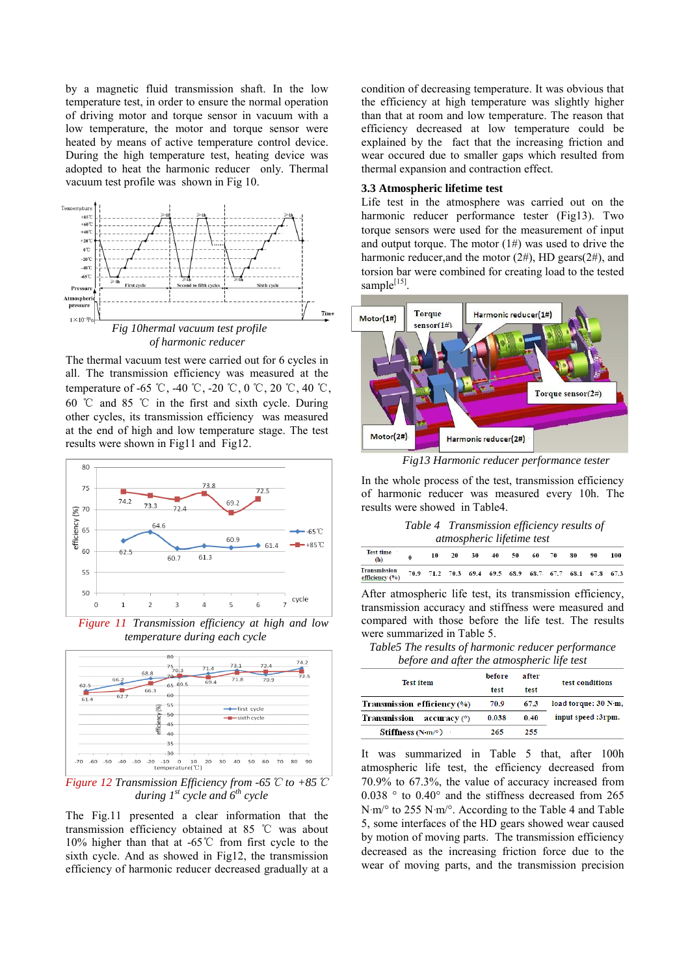by a magnetic fluid transmission shaft. In the low temperature test, in order to ensure the normal operation of driving motor and torque sensor in vacuum with a low temperature, the motor and torque sensor were heated by means of active temperature control device. During the high temperature test, heating device was adopted to heat the harmonic reducer only. Thermal vacuum test profile was shown in Fig 10.



The thermal vacuum test were carried out for 6 cycles in all. The transmission efficiency was measured at the temperature of -65 °C, -40 °C, -20 °C, 0 °C, 20 °C, 40 °C, 60 ℃ and 85 ℃ in the first and sixth cycle. During other cycles, its transmission efficiency was measured at the end of high and low temperature stage. The test results were shown in Fig11 and Fig12.



*Figure 11 Transmission efficiency at high and low temperature during each cycle* 



*Figure 12 Transmission Efficiency from -65*℃ *to +85*℃ *during*  $I^{st}$  *cycle and*  $6^{th}$  *cycle* 

The Fig.11 presented a clear information that the transmission efficiency obtained at 85 ℃ was about 10% higher than that at -65℃ from first cycle to the sixth cycle. And as showed in Fig12, the transmission efficiency of harmonic reducer decreased gradually at a

condition of decreasing temperature. It was obvious that the efficiency at high temperature was slightly higher than that at room and low temperature. The reason that efficiency decreased at low temperature could be explained by the fact that the increasing friction and wear occured due to smaller gaps which resulted from thermal expansion and contraction effect.

#### **3.3 Atmospheric lifetime test**

Life test in the atmosphere was carried out on the harmonic reducer performance tester (Fig13). Two torque sensors were used for the measurement of input and output torque. The motor  $(1#)$  was used to drive the harmonic reducer, and the motor  $(2#)$ , HD gears $(2#)$ , and torsion bar were combined for creating load to the tested sample[15].



*Fig13 Harmonic reducer performance tester* 

In the whole process of the test, transmission efficiency of harmonic reducer was measured every 10h. The results were showed in Table4.

*Table 4 Transmission efficiency results of atmospheric lifetime test* 

| <b>Test time</b><br>(h)      | 10 | 20 | 30                                                     | 40 | 50. | 60 | 70 | 80 | 90 | 100. |
|------------------------------|----|----|--------------------------------------------------------|----|-----|----|----|----|----|------|
| ransmission<br>fficiency (%) |    |    | 70.9 71.2 70.3 69.4 69.5 68.9 68.7 67.7 68.1 67.8 67.3 |    |     |    |    |    |    |      |

After atmospheric life test, its transmission efficiency, transmission accuracy and stiffness were measured and compared with those before the life test. The results were summarized in Table 5.

*Table5 The results of harmonic reducer performance before and after the atmospheric life test* 

| <b>Test item</b>                                            | before | after | test conditions      |  |  |
|-------------------------------------------------------------|--------|-------|----------------------|--|--|
|                                                             | test   | test  |                      |  |  |
| Transmission efficiency (%)                                 | 70.9   | 67.3  | load torque: 30 N m, |  |  |
| Transmission<br>$\arctan\left(\frac{\theta}{\theta}\right)$ | 0.038  | 0.40  | input speed :3rpm.   |  |  |
| Stiffness (N·m/ $\degree$ )                                 | 265    | 255   |                      |  |  |

It was summarized in Table 5 that, after 100h atmospheric life test, the efficiency decreased from 70.9% to 67.3%, the value of accuracy increased from 0.038 ° to 0.40° and the stiffness decreased from 265 N·m/° to 255 N·m/°. According to the Table 4 and Table 5, some interfaces of the HD gears showed wear caused by motion of moving parts. The transmission efficiency decreased as the increasing friction force due to the wear of moving parts, and the transmission precision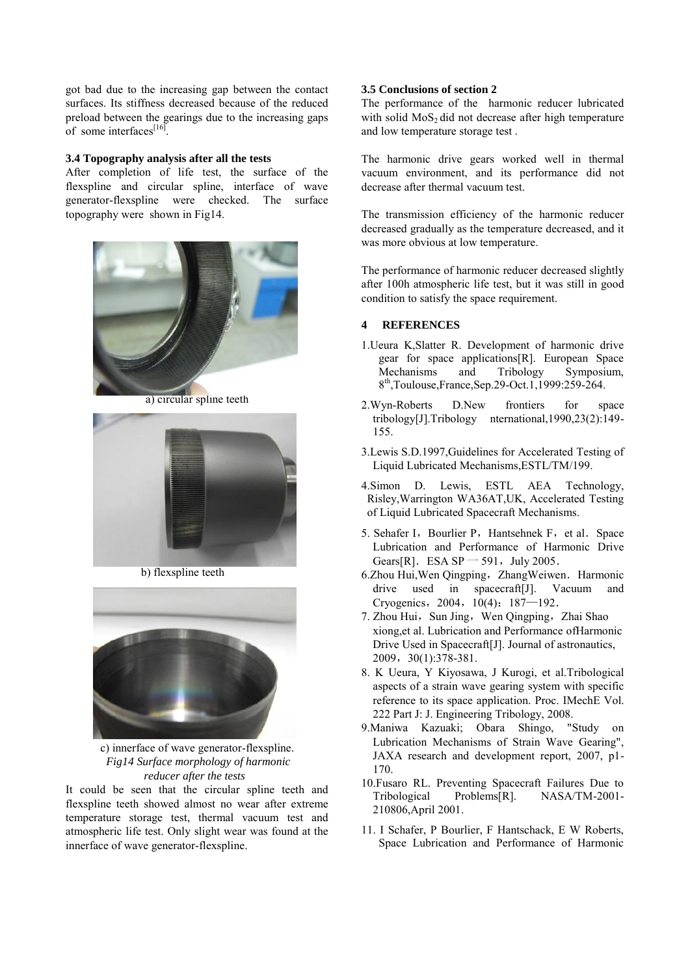got bad due to the increasing gap between the contact surfaces. Its stiffness decreased because of the reduced preload between the gearings due to the increasing gaps of some interfaces<sup>[16]</sup>.

#### **3.4 Topography analysis after all the tests**

After completion of life test, the surface of the flexspline and circular spline, interface of wave generator-flexspline were checked. The surface topography were shown in Fig14.



a) circular spline teeth



b) flexspline teeth



c) innerface of wave generator-flexspline. *Fig14 Surface morphology of harmonic reducer after the tests* 

It could be seen that the circular spline teeth and flexspline teeth showed almost no wear after extreme temperature storage test, thermal vacuum test and atmospheric life test. Only slight wear was found at the innerface of wave generator-flexspline.

### **3.5 Conclusions of section 2**

The performance of the harmonic reducer lubricated with solid  $MoS<sub>2</sub>$  did not decrease after high temperature and low temperature storage test .

The harmonic drive gears worked well in thermal vacuum environment, and its performance did not decrease after thermal vacuum test.

The transmission efficiency of the harmonic reducer decreased gradually as the temperature decreased, and it was more obvious at low temperature.

The performance of harmonic reducer decreased slightly after 100h atmospheric life test, but it was still in good condition to satisfy the space requirement.

# **4 REFERENCES**

- 1.Ueura K,Slatter R. Development of harmonic drive gear for space applications[R]. European Space Mechanisms and Tribology Symposium, 8 th,Toulouse,France,Sep.29-Oct.1,1999:259-264.
- 2.Wyn-Roberts D.New frontiers for space tribology[J].Tribology nternational,1990,23(2):149- 155.
- 3.Lewis S.D.1997,Guidelines for Accelerated Testing of Liquid Lubricated Mechanisms,ESTL/TM/199.
- 4.Simon D. Lewis, ESTL AEA Technology, Risley,Warrington WA36AT,UK, Accelerated Testing of Liquid Lubricated Spacecraft Mechanisms.
- 5. Sehafer I, Bourlier P, Hantsehnek F, et al. Space Lubrication and Performance of Harmonic Drive Gears[R]. ESA SP  $-$  591, July 2005.
- 6.Zhou Hui, Wen Qingping, Zhang Weiwen. Harmonic drive used in spacecraft[J]. Vacuum and Cryogenics, 2004, 10(4): 187-192.
- 7. Zhou Hui, Sun Jing, Wen Qingping, Zhai Shao xiong,et al. Lubrication and Performance ofHarmonic Drive Used in Spacecraft[J]. Journal of astronautics, 2009,30(1):378-381.
- 8. K Ueura, Y Kiyosawa, J Kurogi, et al.Tribological aspects of a strain wave gearing system with specific reference to its space application. Proc. IMechE Vol. 222 Part J: J. Engineering Tribology, 2008.
- 9.Maniwa Kazuaki; Obara Shingo, "Study on Lubrication Mechanisms of Strain Wave Gearing", JAXA research and development report, 2007, p1- 170.
- 10.Fusaro RL. Preventing Spacecraft Failures Due to Tribological Problems[R]. NASA/TM-2001- 210806,April 2001.
- 11. I Schafer, P Bourlier, F Hantschack, E W Roberts, Space Lubrication and Performance of Harmonic